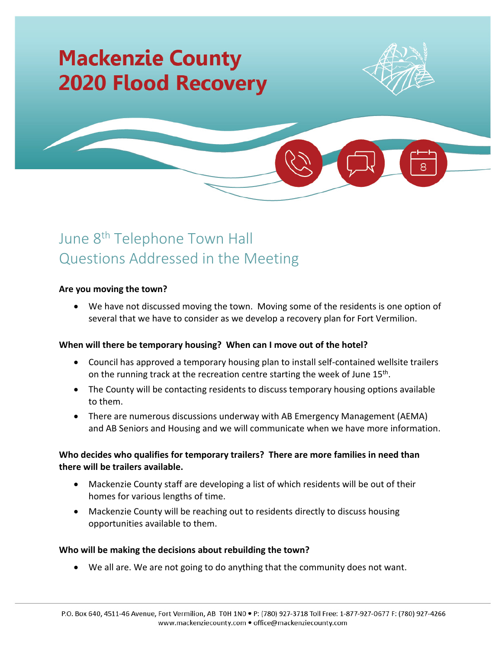# **Mackenzie County 2020 Flood Recovery**





# June 8<sup>th</sup> Telephone Town Hall Questions Addressed in the Meeting

#### **Are you moving the town?**

• We have not discussed moving the town. Moving some of the residents is one option of several that we have to consider as we develop a recovery plan for Fort Vermilion.

# **When will there be temporary housing? When can I move out of the hotel?**

- Council has approved a temporary housing plan to install self-contained wellsite trailers on the running track at the recreation centre starting the week of June 15<sup>th</sup>.
- The County will be contacting residents to discuss temporary housing options available to them.
- There are numerous discussions underway with AB Emergency Management (AEMA) and AB Seniors and Housing and we will communicate when we have more information.

# **Who decides who qualifies for temporary trailers? There are more families in need than there will be trailers available.**

- Mackenzie County staff are developing a list of which residents will be out of their homes for various lengths of time.
- Mackenzie County will be reaching out to residents directly to discuss housing opportunities available to them.

# **Who will be making the decisions about rebuilding the town?**

• We all are. We are not going to do anything that the community does not want.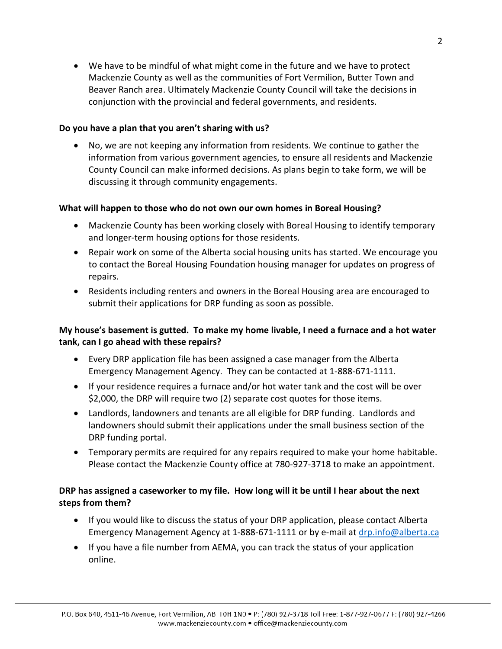• We have to be mindful of what might come in the future and we have to protect Mackenzie County as well as the communities of Fort Vermilion, Butter Town and Beaver Ranch area. Ultimately Mackenzie County Council will take the decisions in conjunction with the provincial and federal governments, and residents.

### **Do you have a plan that you aren't sharing with us?**

• No, we are not keeping any information from residents. We continue to gather the information from various government agencies, to ensure all residents and Mackenzie County Council can make informed decisions. As plans begin to take form, we will be discussing it through community engagements.

### **What will happen to those who do not own our own homes in Boreal Housing?**

- Mackenzie County has been working closely with Boreal Housing to identify temporary and longer-term housing options for those residents.
- Repair work on some of the Alberta social housing units has started. We encourage you to contact the Boreal Housing Foundation housing manager for updates on progress of repairs.
- Residents including renters and owners in the Boreal Housing area are encouraged to submit their applications for DRP funding as soon as possible.

# **My house's basement is gutted. To make my home livable, I need a furnace and a hot water tank, can I go ahead with these repairs?**

- Every DRP application file has been assigned a case manager from the Alberta Emergency Management Agency. They can be contacted at 1-888-671-1111.
- If your residence requires a furnace and/or hot water tank and the cost will be over \$2,000, the DRP will require two (2) separate cost quotes for those items.
- Landlords, landowners and tenants are all eligible for DRP funding. Landlords and landowners should submit their applications under the small business section of the DRP funding portal.
- Temporary permits are required for any repairs required to make your home habitable. Please contact the Mackenzie County office at 780-927-3718 to make an appointment.

# **DRP has assigned a caseworker to my file. How long will it be until I hear about the next steps from them?**

- If you would like to discuss the status of your DRP application, please contact Alberta Emergency Management Agency at 1-888-671-1111 or by e-mail at [drp.info@alberta.ca](mailto:drp.info@alberta.ca)
- If you have a file number from AEMA, you can track the status of your application online.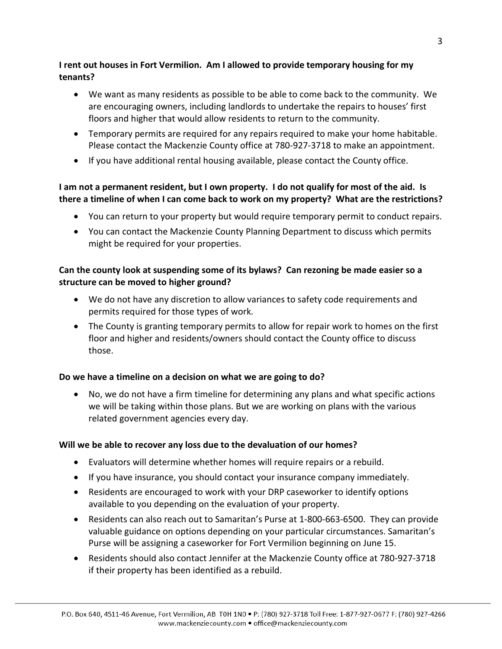# **I rent out houses in Fort Vermilion. Am I allowed to provide temporary housing for my tenants?**

- We want as many residents as possible to be able to come back to the community. We are encouraging owners, including landlords to undertake the repairs to houses' first floors and higher that would allow residents to return to the community.
- Temporary permits are required for any repairs required to make your home habitable. Please contact the Mackenzie County office at 780-927-3718 to make an appointment.
- If you have additional rental housing available, please contact the County office.

# **I am not a permanent resident, but I own property. I do not qualify for most of the aid. Is there a timeline of when I can come back to work on my property? What are the restrictions?**

- You can return to your property but would require temporary permit to conduct repairs.
- You can contact the Mackenzie County Planning Department to discuss which permits might be required for your properties.

# **Can the county look at suspending some of its bylaws? Can rezoning be made easier so a structure can be moved to higher ground?**

- We do not have any discretion to allow variances to safety code requirements and permits required for those types of work.
- The County is granting temporary permits to allow for repair work to homes on the first floor and higher and residents/owners should contact the County office to discuss those.

# **Do we have a timeline on a decision on what we are going to do?**

• No, we do not have a firm timeline for determining any plans and what specific actions we will be taking within those plans. But we are working on plans with the various related government agencies every day.

# **Will we be able to recover any loss due to the devaluation of our homes?**

- Evaluators will determine whether homes will require repairs or a rebuild.
- If you have insurance, you should contact your insurance company immediately.
- Residents are encouraged to work with your DRP caseworker to identify options available to you depending on the evaluation of your property.
- Residents can also reach out to Samaritan's Purse at 1-800-663-6500. They can provide valuable guidance on options depending on your particular circumstances. Samaritan's Purse will be assigning a caseworker for Fort Vermilion beginning on June 15.
- Residents should also contact Jennifer at the Mackenzie County office at 780-927-3718 if their property has been identified as a rebuild.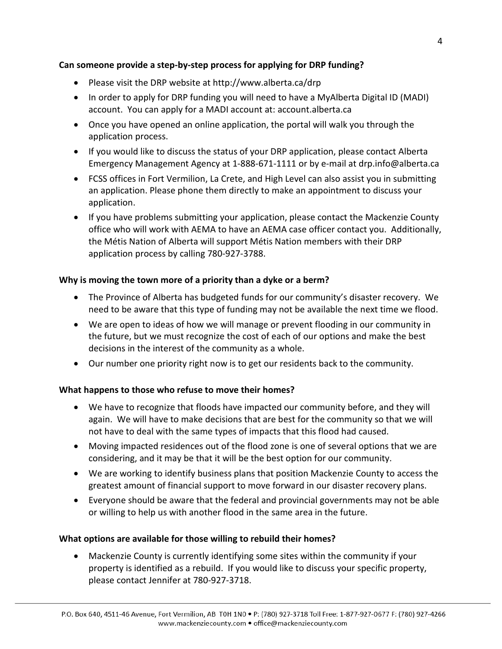# **Can someone provide a step-by-step process for applying for DRP funding?**

- Please visit the DRP website at<http://www.alberta.ca/drp>
- In order to apply for DRP funding you will need to have a MyAlberta Digital ID (MADI) account. You can apply for a MADI account at: account.alberta.ca
- Once you have opened an online application, the portal will walk you through the application process.
- If you would like to discuss the status of your DRP application, please contact Alberta Emergency Management Agency at 1-888-671-1111 or by e-mail at [drp.info@alberta.ca](mailto:drp.info@alberta.ca)
- FCSS offices in Fort Vermilion, La Crete, and High Level can also assist you in submitting an application. Please phone them directly to make an appointment to discuss your application.
- If you have problems submitting your application, please contact the Mackenzie County office who will work with AEMA to have an AEMA case officer contact you. Additionally, the Métis Nation of Alberta will support Métis Nation members with their DRP application process by calling 780-927-3788.

# **Why is moving the town more of a priority than a dyke or a berm?**

- The Province of Alberta has budgeted funds for our community's disaster recovery. We need to be aware that this type of funding may not be available the next time we flood.
- We are open to ideas of how we will manage or prevent flooding in our community in the future, but we must recognize the cost of each of our options and make the best decisions in the interest of the community as a whole.
- Our number one priority right now is to get our residents back to the community.

# **What happens to those who refuse to move their homes?**

- We have to recognize that floods have impacted our community before, and they will again. We will have to make decisions that are best for the community so that we will not have to deal with the same types of impacts that this flood had caused.
- Moving impacted residences out of the flood zone is one of several options that we are considering, and it may be that it will be the best option for our community.
- We are working to identify business plans that position Mackenzie County to access the greatest amount of financial support to move forward in our disaster recovery plans.
- Everyone should be aware that the federal and provincial governments may not be able or willing to help us with another flood in the same area in the future.

# **What options are available for those willing to rebuild their homes?**

• Mackenzie County is currently identifying some sites within the community if your property is identified as a rebuild. If you would like to discuss your specific property, please contact Jennifer at 780-927-3718.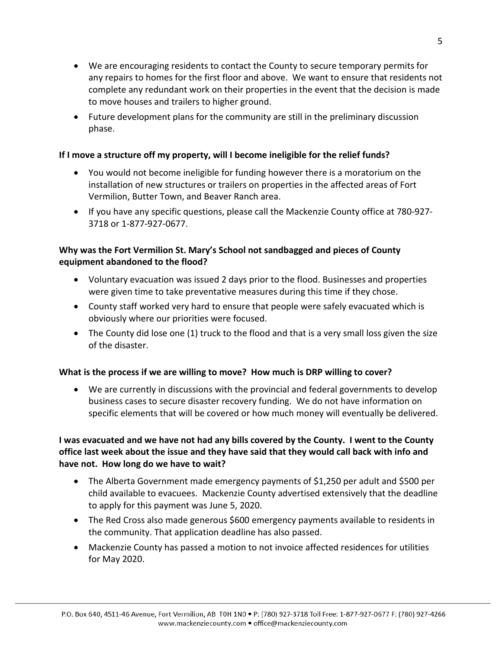- We are encouraging residents to contact the County to secure temporary permits for any repairs to homes for the first floor and above. We want to ensure that residents not complete any redundant work on their properties in the event that the decision is made to move houses and trailers to higher ground.
- Future development plans for the community are still in the preliminary discussion phase.

# **If I move a structure off my property, will I become ineligible for the relief funds?**

- You would not become ineligible for funding however there is a moratorium on the installation of new structures or trailers on properties in the affected areas of Fort Vermilion, Butter Town, and Beaver Ranch area.
- If you have any specific questions, please call the Mackenzie County office at 780-927- 3718 or 1-877-927-0677.

# **Why was the Fort Vermilion St. Mary's School not sandbagged and pieces of County equipment abandoned to the flood?**

- Voluntary evacuation was issued 2 days prior to the flood. Businesses and properties were given time to take preventative measures during this time if they chose.
- County staff worked very hard to ensure that people were safely evacuated which is obviously where our priorities were focused.
- The County did lose one (1) truck to the flood and that is a very small loss given the size of the disaster.

# **What is the process if we are willing to move? How much is DRP willing to cover?**

• We are currently in discussions with the provincial and federal governments to develop business cases to secure disaster recovery funding. We do not have information on specific elements that will be covered or how much money will eventually be delivered.

# **I was evacuated and we have not had any bills covered by the County. I went to the County office last week about the issue and they have said that they would call back with info and have not. How long do we have to wait?**

- The Alberta Government made emergency payments of \$1,250 per adult and \$500 per child available to evacuees. Mackenzie County advertised extensively that the deadline to apply for this payment was June 5, 2020.
- The Red Cross also made generous \$600 emergency payments available to residents in the community. That application deadline has also passed.
- Mackenzie County has passed a motion to not invoice affected residences for utilities for May 2020.